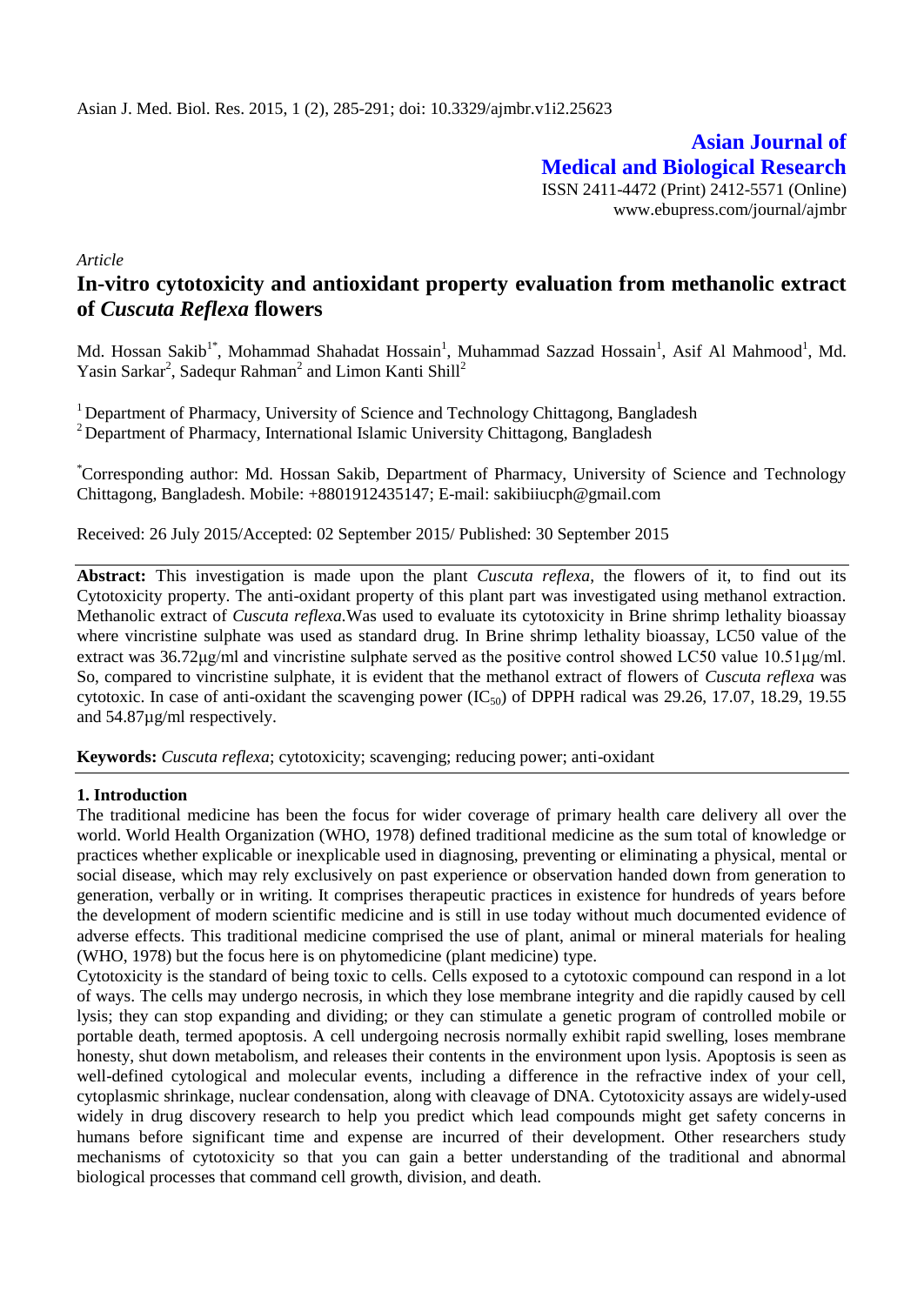**Asian Journal of Medical and Biological Research** ISSN 2411-4472 (Print) 2412-5571 (Online) www.ebupress.com/journal/ajmbr

*Article*

# **In-vitro cytotoxicity and antioxidant property evaluation from methanolic extract of** *Cuscuta Reflexa* **flowers**

Md. Hossan Sakib<sup>1\*</sup>, Mohammad Shahadat Hossain<sup>1</sup>, Muhammad Sazzad Hossain<sup>1</sup>, Asif Al Mahmood<sup>1</sup>, Md. Yasin Sarkar<sup>2</sup>, Sadequr Rahman<sup>2</sup> and Limon Kanti Shill<sup>2</sup>

<sup>1</sup> Department of Pharmacy, University of Science and Technology Chittagong, Bangladesh <sup>2</sup> Department of Pharmacy, International Islamic University Chittagong, Bangladesh

\*Corresponding author: Md. Hossan Sakib, Department of Pharmacy, University of Science and Technology Chittagong, Bangladesh. Mobile: +8801912435147; E-mail: sakibiiucph@gmail.com

Received: 26 July 2015/Accepted: 02 September 2015/ Published: 30 September 2015

**Abstract:** This investigation is made upon the plant *Cuscuta reflexa*, the flowers of it, to find out its Cytotoxicity property. The anti-oxidant property of this plant part was investigated using methanol extraction. Methanolic extract of *Cuscuta reflexa.*Was used to evaluate its cytotoxicity in Brine shrimp lethality bioassay where vincristine sulphate was used as standard drug. In Brine shrimp lethality bioassay, LC50 value of the extract was 36.72μg/ml and vincristine sulphate served as the positive control showed LC50 value 10.51μg/ml. So, compared to vincristine sulphate, it is evident that the methanol extract of flowers of *Cuscuta reflexa* was cytotoxic. In case of anti-oxidant the scavenging power  $(IC_{50})$  of DPPH radical was 29.26, 17.07, 18.29, 19.55 and 54.87µg/ml respectively.

**Keywords:** *Cuscuta reflexa*; cytotoxicity; scavenging; reducing power; anti-oxidant

## **1. Introduction**

The traditional medicine has been the focus for wider coverage of primary health care delivery all over the world. World Health Organization (WHO, 1978) defined traditional medicine as the sum total of knowledge or practices whether explicable or inexplicable used in diagnosing, preventing or eliminating a physical, mental or social disease, which may rely exclusively on past experience or observation handed down from generation to generation, verbally or in writing. It comprises therapeutic practices in existence for hundreds of years before the development of modern scientific medicine and is still in use today without much documented evidence of adverse effects. This traditional medicine comprised the use of plant, animal or mineral materials for healing (WHO, 1978) but the focus here is on phytomedicine (plant medicine) type.

Cytotoxicity is the standard of being toxic to cells. Cells exposed to a cytotoxic compound can respond in a lot of ways. The cells may undergo necrosis, in which they lose membrane integrity and die rapidly caused by cell lysis; they can stop expanding and dividing; or they can stimulate a genetic program of controlled mobile or portable death, termed apoptosis. A cell undergoing necrosis normally exhibit rapid swelling, loses membrane honesty, shut down metabolism, and releases their contents in the environment upon lysis. Apoptosis is seen as well-defined cytological and molecular events, including a difference in the refractive index of your cell, cytoplasmic shrinkage, nuclear condensation, along with cleavage of DNA. Cytotoxicity assays are widely-used widely in drug discovery research to help you predict which lead compounds might get safety concerns in humans before significant time and expense are incurred of their development. Other researchers study mechanisms of cytotoxicity so that you can gain a better understanding of the traditional and abnormal biological processes that command cell growth, division, and death.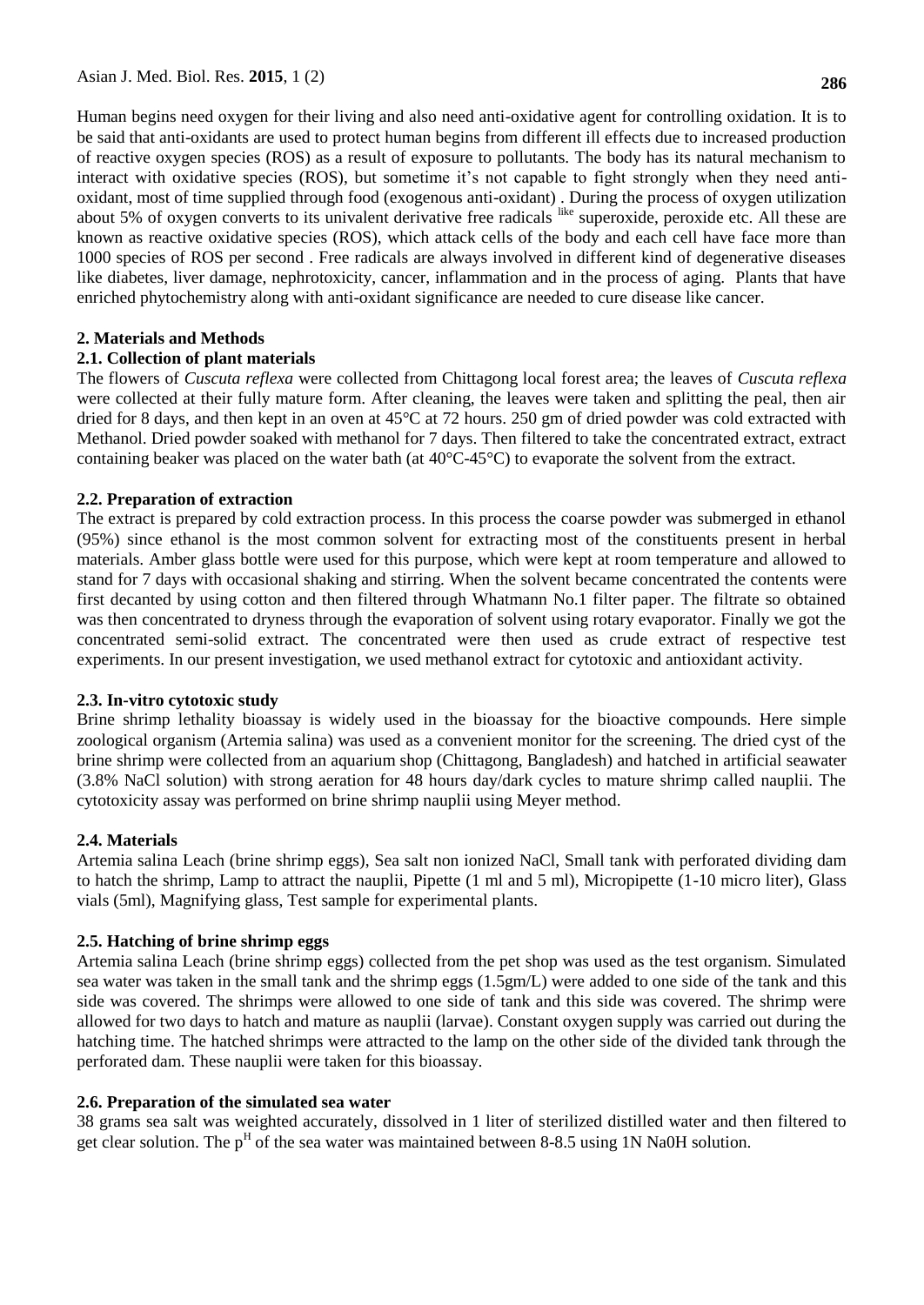Human begins need oxygen for their living and also need anti-oxidative agent for controlling oxidation. It is to be said that anti-oxidants are used to protect human begins from different ill effects due to increased production of reactive oxygen species (ROS) as a result of exposure to pollutants. The body has its natural mechanism to interact with oxidative species (ROS), but sometime it's not capable to fight strongly when they need antioxidant, most of time supplied through food (exogenous anti-oxidant) . During the process of oxygen utilization about 5% of oxygen converts to its univalent derivative free radicals  $\frac{a}{b}$  superoxide, peroxide etc. All these are known as reactive oxidative species (ROS), which attack cells of the body and each cell have face more than 1000 species of ROS per second . Free radicals are always involved in different kind of degenerative diseases like diabetes, liver damage, nephrotoxicity, cancer, inflammation and in the process of aging. Plants that have enriched phytochemistry along with anti-oxidant significance are needed to cure disease like cancer.

# **2. Materials and Methods**

# **2.1. Collection of plant materials**

The flowers of *Cuscuta reflexa* were collected from Chittagong local forest area; the leaves of *Cuscuta reflexa* were collected at their fully mature form. After cleaning, the leaves were taken and splitting the peal, then air dried for 8 days, and then kept in an oven at 45°C at 72 hours. 250 gm of dried powder was cold extracted with Methanol. Dried powder soaked with methanol for 7 days. Then filtered to take the concentrated extract, extract containing beaker was placed on the water bath (at 40°C-45°C) to evaporate the solvent from the extract.

# **2.2. Preparation of extraction**

The extract is prepared by cold extraction process. In this process the coarse powder was submerged in ethanol (95%) since ethanol is the most common solvent for extracting most of the constituents present in herbal materials. Amber glass bottle were used for this purpose, which were kept at room temperature and allowed to stand for 7 days with occasional shaking and stirring. When the solvent became concentrated the contents were first decanted by using cotton and then filtered through Whatmann No.1 filter paper. The filtrate so obtained was then concentrated to dryness through the evaporation of solvent using rotary evaporator. Finally we got the concentrated semi-solid extract. The concentrated were then used as crude extract of respective test experiments. In our present investigation, we used methanol extract for cytotoxic and antioxidant activity.

## **2.3. In-vitro cytotoxic study**

Brine shrimp lethality bioassay is widely used in the bioassay for the bioactive compounds. Here simple zoological organism (Artemia salina) was used as a convenient monitor for the screening. The dried cyst of the brine shrimp were collected from an aquarium shop (Chittagong, Bangladesh) and hatched in artificial seawater (3.8% NaCl solution) with strong aeration for 48 hours day/dark cycles to mature shrimp called nauplii. The cytotoxicity assay was performed on brine shrimp nauplii using Meyer method.

# **2.4. Materials**

Artemia salina Leach (brine shrimp eggs), Sea salt non ionized NaCl, Small tank with perforated dividing dam to hatch the shrimp, Lamp to attract the nauplii, Pipette (1 ml and 5 ml), Micropipette (1-10 micro liter), Glass vials (5ml), Magnifying glass, Test sample for experimental plants.

## **2.5. Hatching of brine shrimp eggs**

Artemia salina Leach (brine shrimp eggs) collected from the pet shop was used as the test organism. Simulated sea water was taken in the small tank and the shrimp eggs (1.5gm/L) were added to one side of the tank and this side was covered. The shrimps were allowed to one side of tank and this side was covered. The shrimp were allowed for two days to hatch and mature as nauplii (larvae). Constant oxygen supply was carried out during the hatching time. The hatched shrimps were attracted to the lamp on the other side of the divided tank through the perforated dam. These nauplii were taken for this bioassay.

## **2.6. Preparation of the simulated sea water**

38 grams sea salt was weighted accurately, dissolved in 1 liter of sterilized distilled water and then filtered to get clear solution. The  $p<sup>H</sup>$  of the sea water was maintained between 8-8.5 using 1N Na0H solution.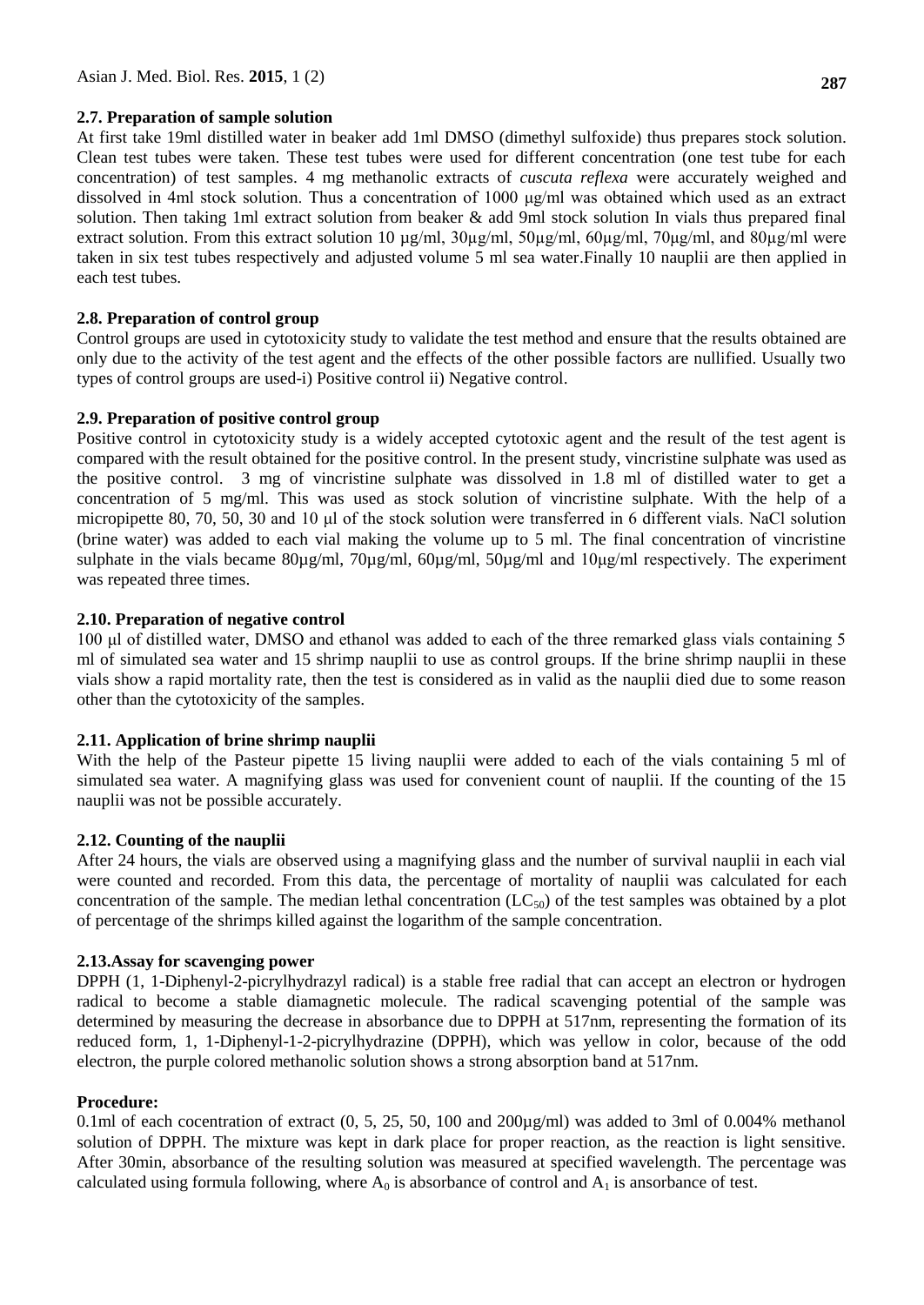#### **2.7. Preparation of sample solution**

At first take 19ml distilled water in beaker add 1ml DMSO (dimethyl sulfoxide) thus prepares stock solution. Clean test tubes were taken. These test tubes were used for different concentration (one test tube for each concentration) of test samples. 4 mg methanolic extracts of *cuscuta reflexa* were accurately weighed and dissolved in 4ml stock solution. Thus a concentration of 1000 μg/ml was obtained which used as an extract solution. Then taking 1ml extract solution from beaker & add 9ml stock solution In vials thus prepared final extract solution. From this extract solution 10 µg/ml, 30µg/ml, 50µg/ml, 60µg/ml, 70μg/ml, and 80µg/ml were taken in six test tubes respectively and adjusted volume 5 ml sea water.Finally 10 nauplii are then applied in each test tubes.

## **2.8. Preparation of control group**

Control groups are used in cytotoxicity study to validate the test method and ensure that the results obtained are only due to the activity of the test agent and the effects of the other possible factors are nullified. Usually two types of control groups are used-i) Positive control ii) Negative control.

#### **2.9. Preparation of positive control group**

Positive control in cytotoxicity study is a widely accepted cytotoxic agent and the result of the test agent is compared with the result obtained for the positive control. In the present study, vincristine sulphate was used as the positive control. 3 mg of vincristine sulphate was dissolved in 1.8 ml of distilled water to get a concentration of 5 mg/ml. This was used as stock solution of vincristine sulphate. With the help of a micropipette 80, 70, 50, 30 and 10 μl of the stock solution were transferred in 6 different vials. NaCl solution (brine water) was added to each vial making the volume up to 5 ml. The final concentration of vincristine sulphate in the vials became 80µg/ml, 70µg/ml, 60µg/ml, 50µg/ml and 10μg/ml respectively. The experiment was repeated three times.

#### **2.10. Preparation of negative control**

100 μl of distilled water, DMSO and ethanol was added to each of the three remarked glass vials containing 5 ml of simulated sea water and 15 shrimp nauplii to use as control groups. If the brine shrimp nauplii in these vials show a rapid mortality rate, then the test is considered as in valid as the nauplii died due to some reason other than the cytotoxicity of the samples.

#### **2.11. Application of brine shrimp nauplii**

With the help of the Pasteur pipette 15 living nauplii were added to each of the vials containing 5 ml of simulated sea water. A magnifying glass was used for convenient count of nauplii. If the counting of the 15 nauplii was not be possible accurately.

## **2.12. Counting of the nauplii**

After 24 hours, the vials are observed using a magnifying glass and the number of survival nauplii in each vial were counted and recorded. From this data, the percentage of mortality of nauplii was calculated for each concentration of the sample. The median lethal concentration  $(LC_{50})$  of the test samples was obtained by a plot of percentage of the shrimps killed against the logarithm of the sample concentration.

## **2.13.Assay for scavenging power**

DPPH (1, 1-Diphenyl-2-picrylhydrazyl radical) is a stable free radial that can accept an electron or hydrogen radical to become a stable diamagnetic molecule. The radical scavenging potential of the sample was determined by measuring the decrease in absorbance due to DPPH at 517nm, representing the formation of its reduced form, 1, 1-Diphenyl-1-2-picrylhydrazine (DPPH), which was yellow in color, because of the odd electron, the purple colored methanolic solution shows a strong absorption band at 517nm.

#### **Procedure:**

0.1ml of each cocentration of extract  $(0, 5, 25, 50, 100, \text{and } 200\mu\text{g/ml})$  was added to 3ml of 0.004% methanol solution of DPPH. The mixture was kept in dark place for proper reaction, as the reaction is light sensitive. After 30min, absorbance of the resulting solution was measured at specified wavelength. The percentage was calculated using formula following, where  $A_0$  is absorbance of control and  $A_1$  is ansorbance of test.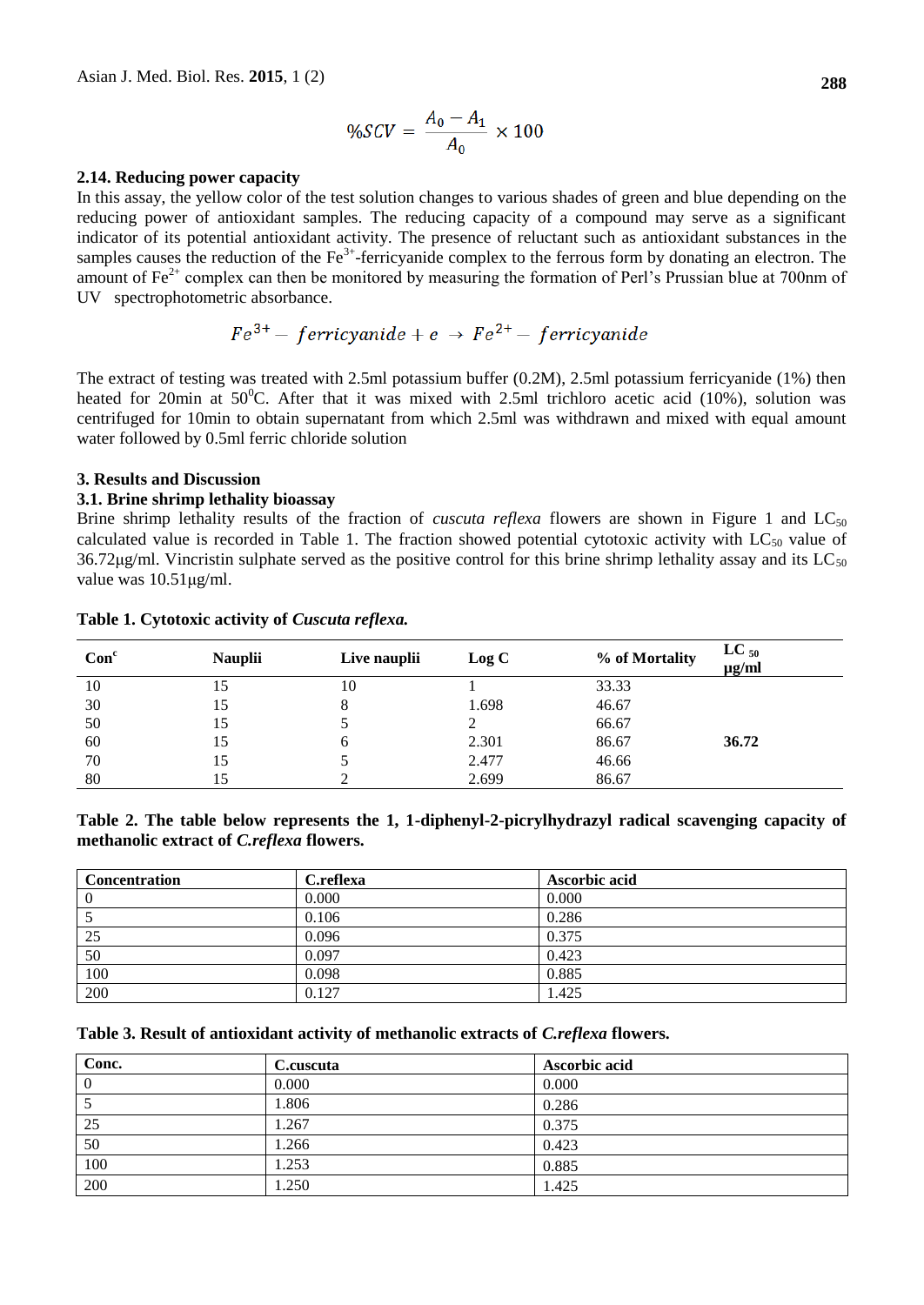$$
\%SCV = \frac{A_0 - A_1}{A_0} \times 100
$$

#### **2.14. Reducing power capacity**

In this assay, the yellow color of the test solution changes to various shades of green and blue depending on the reducing power of antioxidant samples. The reducing capacity of a compound may serve as a significant indicator of its potential antioxidant activity. The presence of reluctant such as antioxidant substances in the samples causes the reduction of the Fe<sup>3+</sup>-ferricyanide complex to the ferrous form by donating an electron. The amount of  $Fe^{2+}$  complex can then be monitored by measuring the formation of Perl's Prussian blue at 700nm of UV spectrophotometric absorbance.

$$
Fe^{3+} - ferricyanide + e \rightarrow Fe^{2+} - ferricyanide
$$

The extract of testing was treated with 2.5ml potassium buffer (0.2M), 2.5ml potassium ferricyanide (1%) then heated for 20min at  $50^{\circ}$ C. After that it was mixed with 2.5ml trichloro acetic acid (10%), solution was centrifuged for 10min to obtain supernatant from which 2.5ml was withdrawn and mixed with equal amount water followed by 0.5ml ferric chloride solution

#### **3. Results and Discussion**

#### **3.1. Brine shrimp lethality bioassay**

Brine shrimp lethality results of the fraction of *cuscuta reflexa* flowers are shown in Figure 1 and  $LC_{50}$ calculated value is recorded in Table 1. The fraction showed potential cytotoxic activity with  $LC_{50}$  value of 36.72 $\mu$ g/ml. Vincristin sulphate served as the positive control for this brine shrimp lethality assay and its LC<sub>50</sub> value was 10.51μg/ml.

| Con <sup>c</sup> | <b>Nauplii</b> | Live nauplii | Log C | % of Mortality | $LC_{50}$<br>$\mu$ g/ml |
|------------------|----------------|--------------|-------|----------------|-------------------------|
| 10               | 15             | 10           |       | 33.33          |                         |
| 30               | 15             | 8            | 1.698 | 46.67          |                         |
| 50               | 15             |              |       | 66.67          |                         |
| 60               | 15             | b            | 2.301 | 86.67          | 36.72                   |
| 70               | 15             |              | 2.477 | 46.66          |                         |
| 80               |                |              | 2.699 | 86.67          |                         |

## **Table 1. Cytotoxic activity of** *Cuscuta reflexa.*

|                                                 |  | Table 2. The table below represents the 1, 1-diphenyl-2-picrylhydrazyl radical scavenging capacity of |  |  |
|-------------------------------------------------|--|-------------------------------------------------------------------------------------------------------|--|--|
| methanolic extract of <i>C.reflexa</i> flowers. |  |                                                                                                       |  |  |

| <b>Concentration</b> | C.reflexa | Ascorbic acid |  |
|----------------------|-----------|---------------|--|
| O                    | 0.000     | 0.000         |  |
|                      | 0.106     | 0.286         |  |
| 25                   | 0.096     | 0.375         |  |
| 50                   | 0.097     | 0.423         |  |
| 100                  | 0.098     | 0.885         |  |
| 200                  | 0.127     | 1.425         |  |

#### **Table 3. Result of antioxidant activity of methanolic extracts of** *C.reflexa* **flowers.**

| Conc.    | C.cuscuta | Ascorbic acid |
|----------|-----------|---------------|
| $\theta$ | 0.000     | 0.000         |
|          | 1.806     | 0.286         |
| 25       | 1.267     | 0.375         |
| 50       | 1.266     | 0.423         |
| 100      | 1.253     | 0.885         |
| 200      | 1.250     | 1.425         |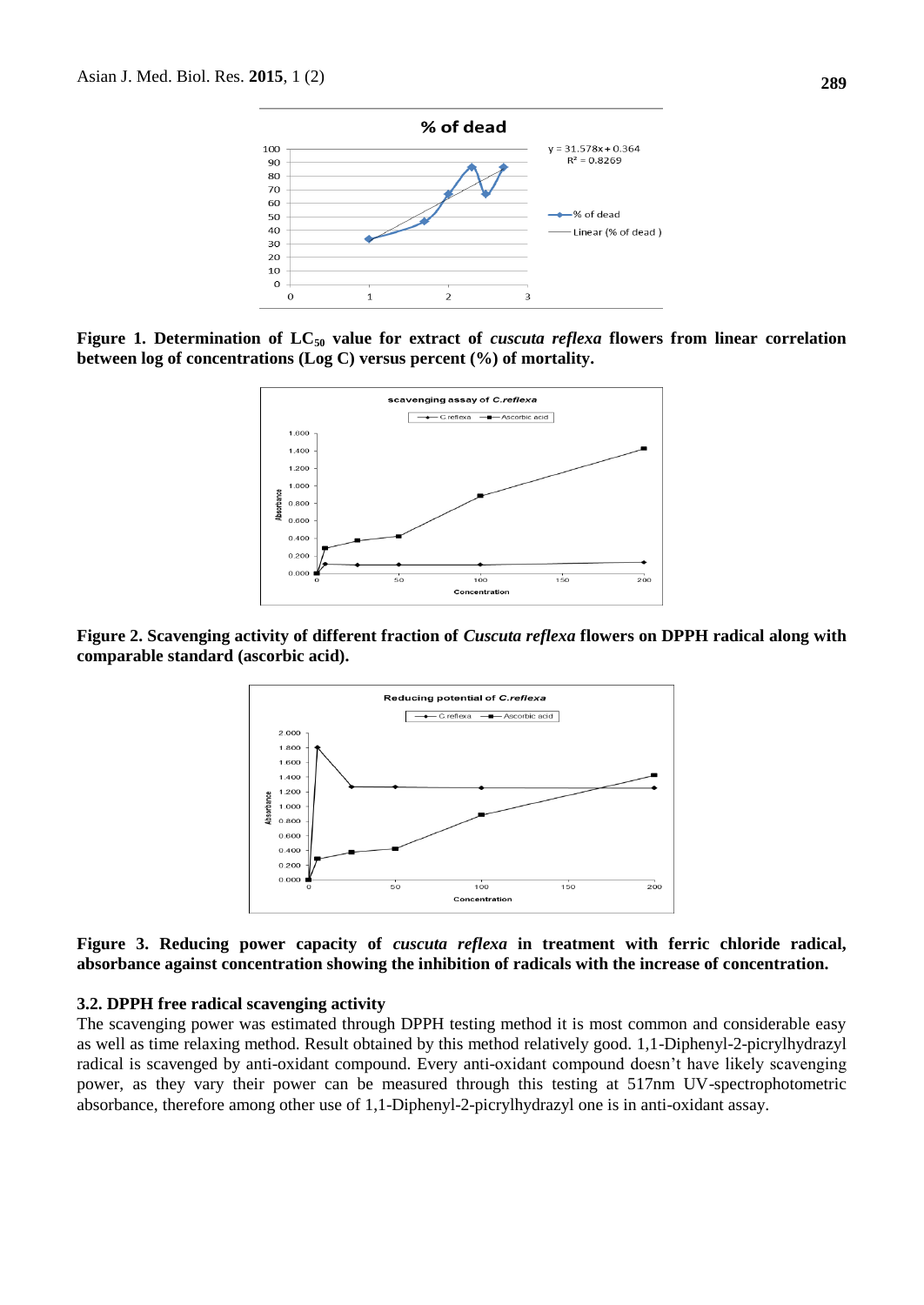

**Figure 1. Determination of LC<sup>50</sup> value for extract of** *cuscuta reflexa* **flowers from linear correlation between log of concentrations (Log C) versus percent (%) of mortality.**



**Figure 2. Scavenging activity of different fraction of** *Cuscuta reflexa* **flowers on DPPH radical along with comparable standard (ascorbic acid).**



**Figure 3. Reducing power capacity of** *cuscuta reflexa* **in treatment with ferric chloride radical, absorbance against concentration showing the inhibition of radicals with the increase of concentration.**

#### **3.2. DPPH free radical scavenging activity**

The scavenging power was estimated through DPPH testing method it is most common and considerable easy as well as time relaxing method. Result obtained by this method relatively good. 1,1-Diphenyl-2-picrylhydrazyl radical is scavenged by anti-oxidant compound. Every anti-oxidant compound doesn't have likely scavenging power, as they vary their power can be measured through this testing at 517nm UV-spectrophotometric absorbance, therefore among other use of 1,1-Diphenyl-2-picrylhydrazyl one is in anti-oxidant assay.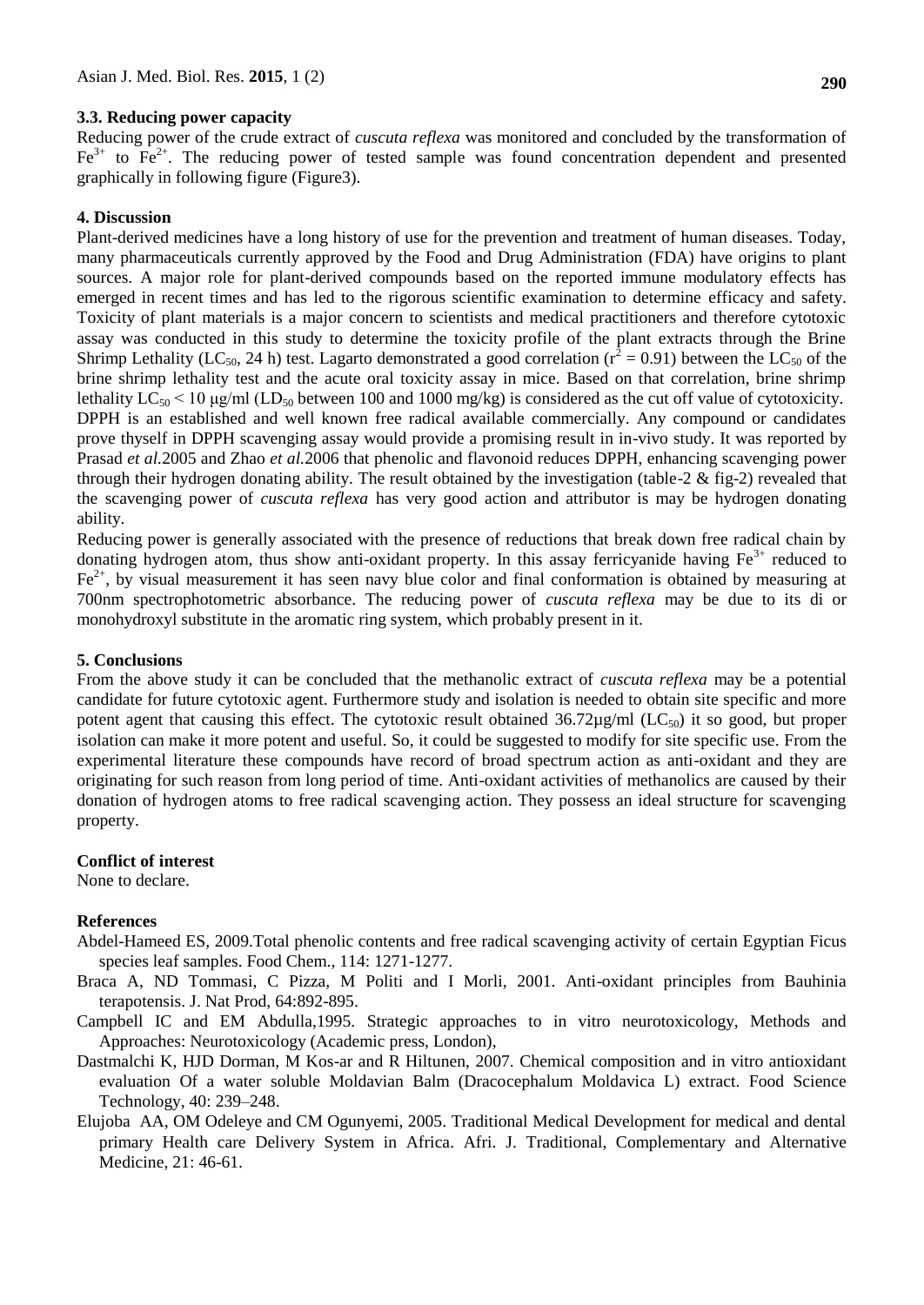# **3.3. Reducing power capacity**

Reducing power of the crude extract of *cuscuta reflexa* was monitored and concluded by the transformation of  $Fe<sup>3+</sup>$  to  $Fe<sup>2+</sup>$ . The reducing power of tested sample was found concentration dependent and presented graphically in following figure (Figure3).

# **4. Discussion**

Plant-derived medicines have a long history of use for the prevention and treatment of human diseases. Today, many pharmaceuticals currently approved by the Food and Drug Administration (FDA) have origins to plant sources. A major role for plant-derived compounds based on the reported immune modulatory effects has emerged in recent times and has led to the rigorous scientific examination to determine efficacy and safety. Toxicity of plant materials is a major concern to scientists and medical practitioners and therefore cytotoxic assay was conducted in this study to determine the toxicity profile of the plant extracts through the Brine Shrimp Lethality (LC<sub>50</sub>, 24 h) test. Lagarto demonstrated a good correlation ( $r^2 = 0.91$ ) between the LC<sub>50</sub> of the brine shrimp lethality test and the acute oral toxicity assay in mice. Based on that correlation, brine shrimp lethality  $LC_{50}$  < 10 µg/ml ( $LD_{50}$  between 100 and 1000 mg/kg) is considered as the cut off value of cytotoxicity. DPPH is an established and well known free radical available commercially. Any compound or candidates prove thyself in DPPH scavenging assay would provide a promising result in in-vivo study. It was reported by Prasad *et al.*2005 and Zhao *et al.*2006 that phenolic and flavonoid reduces DPPH, enhancing scavenging power through their hydrogen donating ability. The result obtained by the investigation (table-2 & fig-2) revealed that the scavenging power of *cuscuta reflexa* has very good action and attributor is may be hydrogen donating ability.

Reducing power is generally associated with the presence of reductions that break down free radical chain by donating hydrogen atom, thus show anti-oxidant property. In this assay ferricyanide having  $Fe<sup>3+</sup>$  reduced to  $Fe<sup>2+</sup>$ , by visual measurement it has seen navy blue color and final conformation is obtained by measuring at 700nm spectrophotometric absorbance. The reducing power of *cuscuta reflexa* may be due to its di or monohydroxyl substitute in the aromatic ring system, which probably present in it.

## **5. Conclusions**

From the above study it can be concluded that the methanolic extract of *cuscuta reflexa* may be a potential candidate for future cytotoxic agent. Furthermore study and isolation is needed to obtain site specific and more potent agent that causing this effect. The cytotoxic result obtained  $36.72\mu g/ml$  (LC<sub>50</sub>) it so good, but proper isolation can make it more potent and useful. So, it could be suggested to modify for site specific use. From the experimental literature these compounds have record of broad spectrum action as anti-oxidant and they are originating for such reason from long period of time. Anti-oxidant activities of methanolics are caused by their donation of hydrogen atoms to free radical scavenging action. They possess an ideal structure for scavenging property.

## **Conflict of interest**

None to declare.

# **References**

- Abdel-Hameed ES, 2009.Total phenolic contents and free radical scavenging activity of certain Egyptian Ficus species leaf samples. Food Chem., 114: 1271-1277.
- Braca A, ND Tommasi, C Pizza, M Politi and I Morli, 2001. Anti-oxidant principles from Bauhinia terapotensis. J. Nat Prod, 64:892-895.
- Campbell IC and EM Abdulla,1995. Strategic approaches to in vitro neurotoxicology, Methods and Approaches: Neurotoxicology (Academic press, London),
- Dastmalchi K, HJD Dorman, M Kos-ar and R Hiltunen, 2007. Chemical composition and in vitro antioxidant evaluation Of a water soluble Moldavian Balm (Dracocephalum Moldavica L) extract. Food Science Technology, 40: 239–248.
- Elujoba AA, OM Odeleye and CM Ogunyemi, 2005. Traditional Medical Development for medical and dental primary Health care Delivery System in Africa. Afri. J. Traditional, Complementary and Alternative Medicine, 21: 46-61.